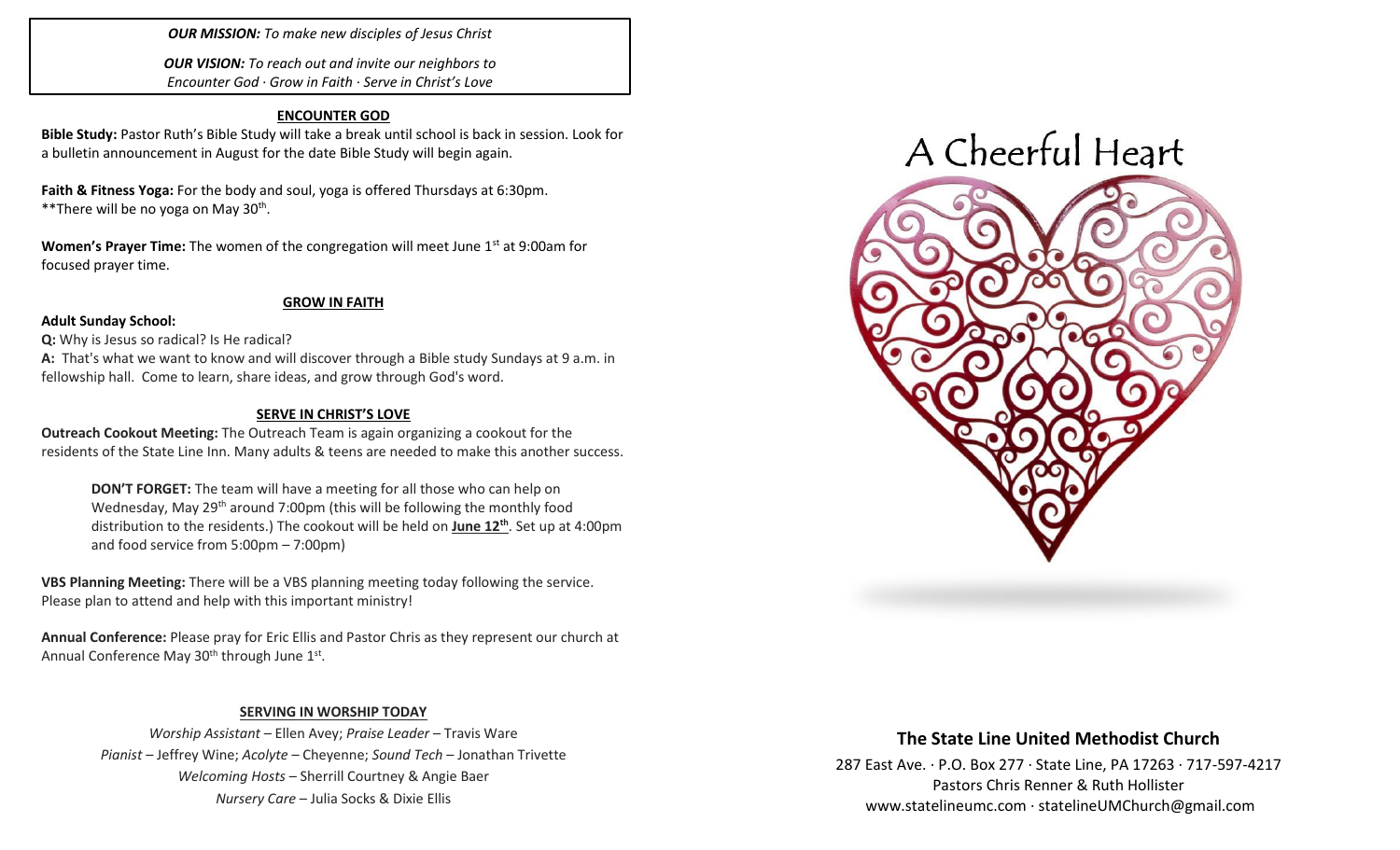### *OUR MISSION: To make new disciples of Jesus Christ*

*OUR VISION: To reach out and invite our neighbors to Encounter God · Grow in Faith · Serve in Christ's Love*

#### **ENCOUNTER GOD**

**Bible Study:** Pastor Ruth's Bible Study will take a break until school is back in session. Look for a bulletin announcement in August for the date Bible Study will begin again.

**Faith & Fitness Yoga:** For the body and soul, yoga is offered Thursdays at 6:30pm. \*\*There will be no yoga on May 30<sup>th</sup>.

**Women's Prayer Time:** The women of the congregation will meet June 1<sup>st</sup> at 9:00am for focused prayer time.

#### **GROW IN FAITH**

#### **Adult Sunday School:**

**Q:** Why is Jesus so radical? Is He radical?

**A:** That's what we want to know and will discover through a Bible study Sundays at 9 a.m. in fellowship hall. Come to learn, share ideas, and grow through God's word.

#### **SERVE IN CHRIST'S LOVE**

**Outreach Cookout Meeting:** The Outreach Team is again organizing a cookout for the residents of the State Line Inn. Many adults & teens are needed to make this another success.

**DON'T FORGET:** The team will have a meeting for all those who can help on Wednesday, May 29<sup>th</sup> around 7:00pm (this will be following the monthly food distribution to the residents.) The cookout will be held on **June 12 th** . Set up at 4:00pm and food service from 5:00pm – 7:00pm)

**VBS Planning Meeting:** There will be a VBS planning meeting today following the service. Please plan to attend and help with this important ministry!

**Annual Conference:** Please pray for Eric Ellis and Pastor Chris as they represent our church at Annual Conference May 30<sup>th</sup> through June 1<sup>st</sup>.

### **SERVING IN WORSHIP TODAY**

*Worship Assistant* – Ellen Avey; *Praise Leader* – Travis Ware *Pianist* – Jeffrey Wine; *Acolyte* – Cheyenne; *Sound Tech* – Jonathan Trivette *Welcoming Hosts* – Sherrill Courtney & Angie Baer *Nursery Care* – Julia Socks & Dixie Ellis



## **The State Line United Methodist Church**

287 East Ave. · P.O. Box 277 · State Line, PA 17263 · 717-597-4217 Pastors Chris Renner & Ruth Hollister [www.statelineumc.com](http://www.statelineumc.com/) · statelineUMChurch@gmail.com